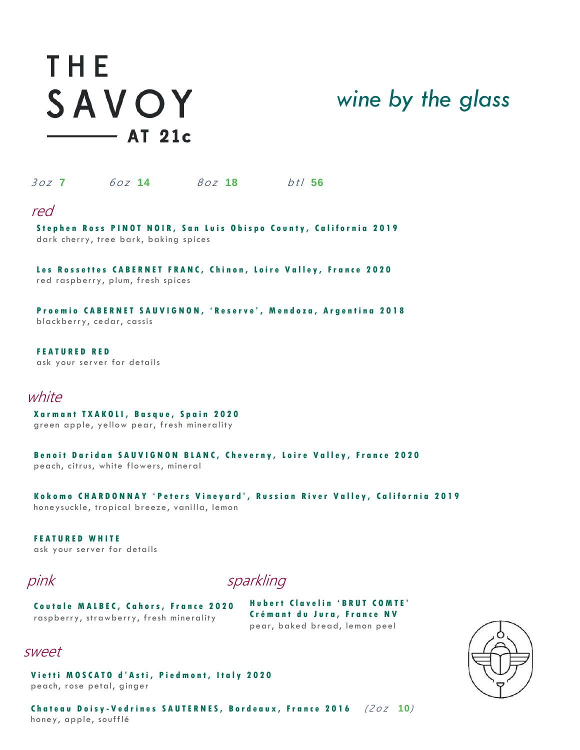# THE SAVOY  $\longrightarrow$  AT 21c



3 <sup>o</sup> <sup>z</sup> **7** 6 <sup>o</sup> <sup>z</sup> **14** 8 <sup>o</sup> <sup>z</sup> **18** b <sup>t</sup> l **56** 

### red

**Stephen Ross PINOT NOIR, San Luis Obispo County, California 2019** dark cherry, tree bark, baking spices

**Les Rossettes CABERNET FRANC, Chinon, Loire Valley, France 2020** red raspberry, plum, fresh spices

**P r o e m i o C A B E R N E T S A U V I G N O N , ' R e s e r v e ', M e n d o z a , A r g e n t i n a 2 0 1 8** blackberry, cedar, cassis

**F E A T U R E D R E D** ask your server for details

## white

**X a r m a n t T X A K O L I , B a s q u e , S p a i n 2 0 2 0** green apple, yellow pear, fresh minerality

**Benoit Daridan SAUVIGNON BLANC, Cheverny, Loire Valley, France 2020** peach, citrus, white flowers, mineral

**K o k o m o C H A R D O N N A Y ' P e t e r s V i n e y a r d ' , R u s s i a n R i v e r V a l l e y , C a l i f o r n i a 2 0 1 9** honeysuckle, tropical breeze, vanilla, lemon

**F E A T U R E D W H I T E** ask your server for details

pinksparkling

**Coutale MALBEC, Cahors, France 2020** raspberry, strawberry, fresh minerality

**H u b e r t C l a v e l i n ' B R U T C O M T E ' Crémant du Jura, France NV** pear, baked bread, lemon peel

### sweet

 peach, rose petal, ginger **Vietti MOSCATO d'Asti, Piedmont, Italy 2020** 

**C h a t e a u D o i s y - V e d r i n e s S A U T E R N E S , B o r d e a u x , F r a n c e 2 0 1 6** ( <sup>2</sup> <sup>o</sup> <sup>z</sup> **10**) honey, apple, soufflé